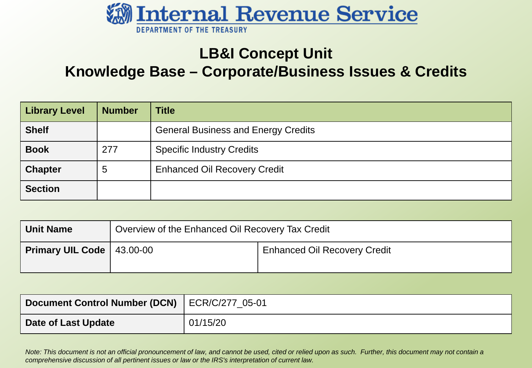

### **LB&I Concept Unit**

**Knowledge Base – Corporate/Business Issues & Credits**

| <b>Library Level</b> | <b>Number</b> | <b>Title</b>                               |
|----------------------|---------------|--------------------------------------------|
| <b>Shelf</b>         |               | <b>General Business and Energy Credits</b> |
| <b>Book</b>          | 277           | <b>Specific Industry Credits</b>           |
| <b>Chapter</b>       | 5             | <b>Enhanced Oil Recovery Credit</b>        |
| <b>Section</b>       |               |                                            |

| <b>Unit Name</b>                     | Overview of the Enhanced Oil Recovery Tax Credit |                                     |
|--------------------------------------|--------------------------------------------------|-------------------------------------|
| <b>Primary UIL Code</b> $ $ 43.00-00 |                                                  | <b>Enhanced Oil Recovery Credit</b> |

| Document Control Number (DCN)   ECR/C/277 05-01 |          |
|-------------------------------------------------|----------|
| Date of Last Update                             | 01/15/20 |

*Note: This document is not an official pronouncement of law, and cannot be used, cited or relied upon as such. Further, this document may not contain a comprehensive discussion of all pertinent issues or law or the IRS's interpretation of current law.*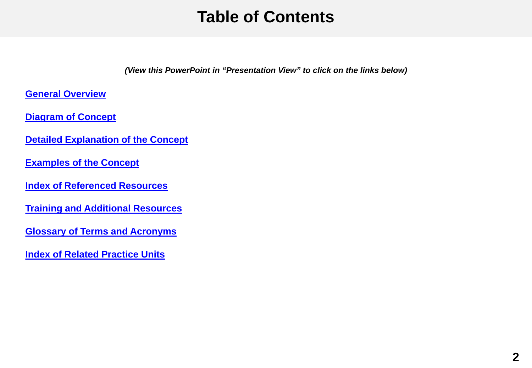### **Table of Contents**

*(View this PowerPoint in "Presentation View" to click on the links below)*

<span id="page-1-0"></span>**[General Overview](#page-2-0)**

**[Diagram of Concept](#page-6-0)**

**[Detailed Explanation of the Concept](#page-8-0)**

**[Examples of the Concept](#page-14-0)**

**[Index of Referenced Resources](#page-16-0)**

**[Training and Additional Resources](#page-17-0)**

**[Glossary of Terms and Acronyms](#page-18-0)**

**[Index of Related Practice Units](#page-19-0)**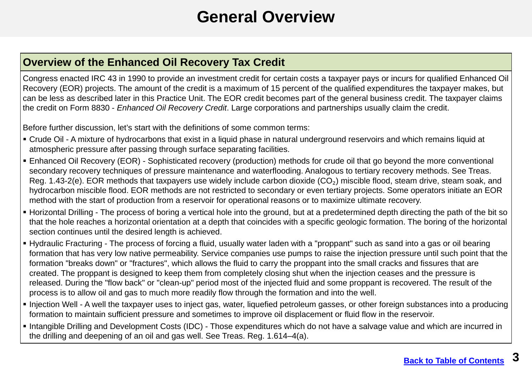### **General Overview**

### <span id="page-2-0"></span>**Overview of the Enhanced Oil Recovery Tax Credit**

Congress enacted IRC 43 in 1990 to provide an investment credit for certain costs a taxpayer pays or incurs for qualified Enhanced Oil Recovery (EOR) projects. The amount of the credit is a maximum of 15 percent of the qualified expenditures the taxpayer makes, but can be less as described later in this Practice Unit. The EOR credit becomes part of the general business credit. The taxpayer claims the credit on Form 8830 - *Enhanced Oil Recovery Credit*. Large corporations and partnerships usually claim the credit.

Before further discussion, let's start with the definitions of some common terms:

- Crude Oil A mixture of hydrocarbons that exist in a liquid phase in natural underground reservoirs and which remains liquid at atmospheric pressure after passing through surface separating facilities.
- Enhanced Oil Recovery (EOR) Sophisticated recovery (production) methods for crude oil that go beyond the more conventional secondary recovery techniques of pressure maintenance and waterflooding. Analogous to tertiary recovery methods. See Treas. Reg. 1.43-2(e). EOR methods that taxpayers use widely include carbon dioxide (CO<sub>2</sub>) miscible flood, steam drive, steam soak, and hydrocarbon miscible flood. EOR methods are not restricted to secondary or even tertiary projects. Some operators initiate an EOR method with the start of production from a reservoir for operational reasons or to maximize ultimate recovery.
- Horizontal Drilling The process of boring a vertical hole into the ground, but at a predetermined depth directing the path of the bit so that the hole reaches a horizontal orientation at a depth that coincides with a specific geologic formation. The boring of the horizontal section continues until the desired length is achieved.
- Hydraulic Fracturing The process of forcing a fluid, usually water laden with a "proppant" such as sand into a gas or oil bearing formation that has very low native permeability. Service companies use pumps to raise the injection pressure until such point that the formation "breaks down" or "fractures", which allows the fluid to carry the proppant into the small cracks and fissures that are created. The proppant is designed to keep them from completely closing shut when the injection ceases and the pressure is released. During the "flow back" or "clean-up" period most of the injected fluid and some proppant is recovered. The result of the process is to allow oil and gas to much more readily flow through the formation and into the well.
- Injection Well A well the taxpayer uses to inject gas, water, liquefied petroleum gasses, or other foreign substances into a producing formation to maintain sufficient pressure and sometimes to improve oil displacement or fluid flow in the reservoir.
- Intangible Drilling and Development Costs (IDC) Those expenditures which do not have a salvage value and which are incurred in the drilling and deepening of an oil and gas well. See Treas. Reg. 1.614–4(a).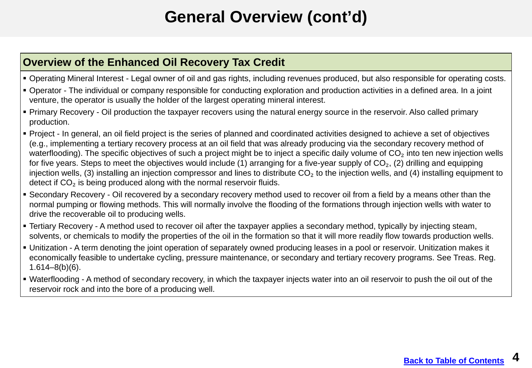# **General Overview (cont'd)**

### **Overview of the Enhanced Oil Recovery Tax Credit**

- Operating Mineral Interest Legal owner of oil and gas rights, including revenues produced, but also responsible for operating costs.
- Operator The individual or company responsible for conducting exploration and production activities in a defined area. In a joint venture, the operator is usually the holder of the largest operating mineral interest.
- Primary Recovery Oil production the taxpayer recovers using the natural energy source in the reservoir. Also called primary production.
- Project In general, an oil field project is the series of planned and coordinated activities designed to achieve a set of objectives (e.g., implementing a tertiary recovery process at an oil field that was already producing via the secondary recovery method of waterflooding). The specific objectives of such a project might be to inject a specific daily volume of  $CO<sub>2</sub>$  into ten new injection wells for five years. Steps to meet the objectives would include (1) arranging for a five-year supply of  $CO<sub>2</sub>$ , (2) drilling and equipping injection wells, (3) installing an injection compressor and lines to distribute  $CO<sub>2</sub>$  to the injection wells, and (4) installing equipment to detect if CO₂ is being produced along with the normal reservoir fluids.
- Secondary Recovery Oil recovered by a secondary recovery method used to recover oil from a field by a means other than the normal pumping or flowing methods. This will normally involve the flooding of the formations through injection wells with water to drive the recoverable oil to producing wells.
- Tertiary Recovery A method used to recover oil after the taxpayer applies a secondary method, typically by injecting steam, solvents, or chemicals to modify the properties of the oil in the formation so that it will more readily flow towards production wells.
- Unitization A term denoting the joint operation of separately owned producing leases in a pool or reservoir. Unitization makes it economically feasible to undertake cycling, pressure maintenance, or secondary and tertiary recovery programs. See Treas. Reg. 1.614–8(b)(6).
- Waterflooding A method of secondary recovery, in which the taxpayer injects water into an oil reservoir to push the oil out of the reservoir rock and into the bore of a producing well.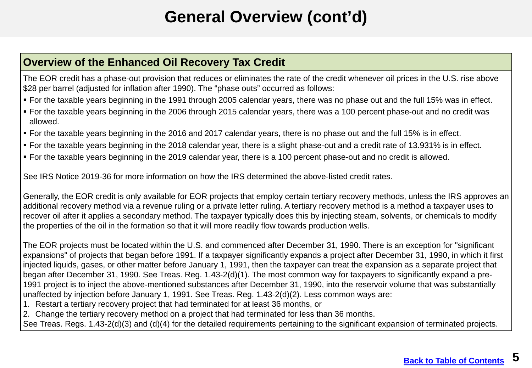# **General Overview (cont'd)**

#### **Overview of the Enhanced Oil Recovery Tax Credit**

The EOR credit has a phase-out provision that reduces or eliminates the rate of the credit whenever oil prices in the U.S. rise above \$28 per barrel (adjusted for inflation after 1990). The "phase outs" occurred as follows:

- For the taxable years beginning in the 1991 through 2005 calendar years, there was no phase out and the full 15% was in effect.
- For the taxable years beginning in the 2006 through 2015 calendar years, there was a 100 percent phase-out and no credit was allowed.
- For the taxable years beginning in the 2016 and 2017 calendar years, there is no phase out and the full 15% is in effect.
- For the taxable years beginning in the 2018 calendar year, there is a slight phase-out and a credit rate of 13.931% is in effect.
- For the taxable years beginning in the 2019 calendar year, there is a 100 percent phase-out and no credit is allowed.

See IRS Notice 2019-36 for more information on how the IRS determined the above-listed credit rates.

Generally, the EOR credit is only available for EOR projects that employ certain tertiary recovery methods, unless the IRS approves an additional recovery method via a revenue ruling or a private letter ruling. A tertiary recovery method is a method a taxpayer uses to recover oil after it applies a secondary method. The taxpayer typically does this by injecting steam, solvents, or chemicals to modify the properties of the oil in the formation so that it will more readily flow towards production wells.

The EOR projects must be located within the U.S. and commenced after December 31, 1990. There is an exception for "significant expansions" of projects that began before 1991. If a taxpayer significantly expands a project after December 31, 1990, in which it first injected liquids, gases, or other matter before January 1, 1991, then the taxpayer can treat the expansion as a separate project that began after December 31, 1990. See Treas. Reg. 1.43-2(d)(1). The most common way for taxpayers to significantly expand a pre-1991 project is to inject the above-mentioned substances after December 31, 1990, into the reservoir volume that was substantially unaffected by injection before January 1, 1991. See Treas. Reg. 1.43-2(d)(2). Less common ways are:

- 1. Restart a tertiary recovery project that had terminated for at least 36 months, or
- 2. Change the tertiary recovery method on a project that had terminated for less than 36 months.

See Treas. Regs. 1.43-2(d)(3) and (d)(4) for the detailed requirements pertaining to the significant expansion of terminated projects.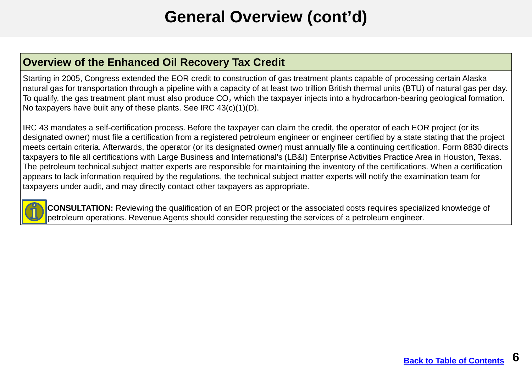# **General Overview (cont'd)**

### **Overview of the Enhanced Oil Recovery Tax Credit**

Starting in 2005, Congress extended the EOR credit to construction of gas treatment plants capable of processing certain Alaska natural gas for transportation through a pipeline with a capacity of at least two trillion British thermal units (BTU) of natural gas per day. To qualify, the gas treatment plant must also produce  $CO<sub>2</sub>$  which the taxpayer injects into a hydrocarbon-bearing geological formation. No taxpayers have built any of these plants. See IRC 43(c)(1)(D).

IRC 43 mandates a self-certification process. Before the taxpayer can claim the credit, the operator of each EOR project (or its designated owner) must file a certification from a registered petroleum engineer or engineer certified by a state stating that the project meets certain criteria. Afterwards, the operator (or its designated owner) must annually file a continuing certification. Form 8830 directs taxpayers to file all certifications with Large Business and International's (LB&I) Enterprise Activities Practice Area in Houston, Texas. The petroleum technical subject matter experts are responsible for maintaining the inventory of the certifications. When a certification appears to lack information required by the regulations, the technical subject matter experts will notify the examination team for taxpayers under audit, and may directly contact other taxpayers as appropriate.



**CONSULTATION:** Reviewing the qualification of an EOR project or the associated costs requires specialized knowledge of petroleum operations. Revenue Agents should consider requesting the services of a petroleum engineer.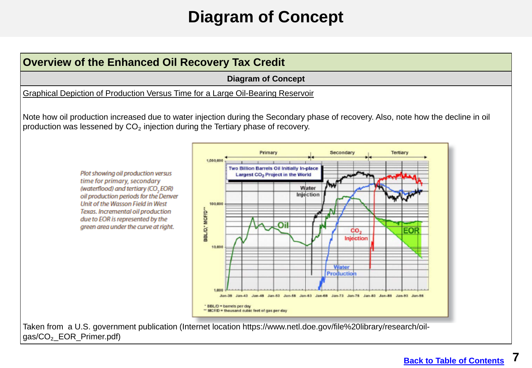### **Diagram of Concept**

<span id="page-6-0"></span>

gas/CO<sub>2</sub> EOR Primer.pdf)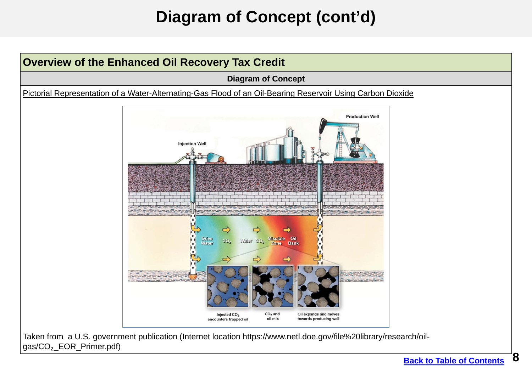# **Diagram of Concept (cont'd)**



[Taken from a U.S. government publication \(Internet location https://www.netl.doe.gov/file%20library/research/oil](https://www.netl.doe.gov/file%20library/research/oil-gas/CO%E2%82%82_EOR_Primer.pdf)gas/CO<sub>2</sub>\_EOR\_Primer.pdf)

**8**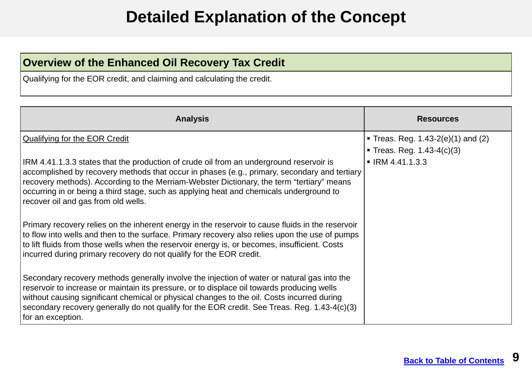### **Detailed Explanation of the Concept**

### <span id="page-8-0"></span>**Overview of the Enhanced Oil Recovery Tax Credit**

Qualifying for the EOR credit, and claiming and calculating the credit.

| <b>Analysis</b>                                                                                                                                                                                                                                                                                                                                                                                                        | <b>Resources</b>                       |
|------------------------------------------------------------------------------------------------------------------------------------------------------------------------------------------------------------------------------------------------------------------------------------------------------------------------------------------------------------------------------------------------------------------------|----------------------------------------|
| Qualifying for the EOR Credit                                                                                                                                                                                                                                                                                                                                                                                          | • Treas. Reg. $1.43-2(e)(1)$ and $(2)$ |
|                                                                                                                                                                                                                                                                                                                                                                                                                        | Treas. Reg. $1.43-4(c)(3)$             |
| IRM 4.41.1.3.3 states that the production of crude oil from an underground reservoir is<br>accomplished by recovery methods that occur in phases (e.g., primary, secondary and tertiary<br>recovery methods). According to the Merriam-Webster Dictionary, the term "tertiary" means<br>occurring in or being a third stage, such as applying heat and chemicals underground to<br>recover oil and gas from old wells. | $\blacksquare$ IRM 4.41.1.3.3          |
| Primary recovery relies on the inherent energy in the reservoir to cause fluids in the reservoir<br>to flow into wells and then to the surface. Primary recovery also relies upon the use of pumps<br>to lift fluids from those wells when the reservoir energy is, or becomes, insufficient. Costs<br>incurred during primary recovery do not qualify for the EOR credit.                                             |                                        |
| Secondary recovery methods generally involve the injection of water or natural gas into the<br>reservoir to increase or maintain its pressure, or to displace oil towards producing wells<br>without causing significant chemical or physical changes to the oil. Costs incurred during<br>secondary recovery generally do not qualify for the EOR credit. See Treas. Reg. 1.43-4(c)(3)<br>for an exception.           |                                        |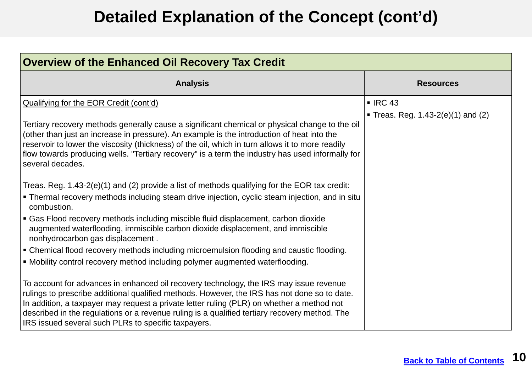| <b>Overview of the Enhanced Oil Recovery Tax Credit</b>                                                                                                                                                                                                                                                                                                                                                                                                                                                                                                                                                              |                                                 |  |
|----------------------------------------------------------------------------------------------------------------------------------------------------------------------------------------------------------------------------------------------------------------------------------------------------------------------------------------------------------------------------------------------------------------------------------------------------------------------------------------------------------------------------------------------------------------------------------------------------------------------|-------------------------------------------------|--|
| <b>Analysis</b>                                                                                                                                                                                                                                                                                                                                                                                                                                                                                                                                                                                                      | <b>Resources</b>                                |  |
| Qualifying for the EOR Credit (cont'd)<br>Tertiary recovery methods generally cause a significant chemical or physical change to the oil<br>(other than just an increase in pressure). An example is the introduction of heat into the<br>reservoir to lower the viscosity (thickness) of the oil, which in turn allows it to more readily<br>flow towards producing wells. "Tertiary recovery" is a term the industry has used informally for<br>several decades.                                                                                                                                                   | IRC43<br>• Treas. Reg. $1.43-2(e)(1)$ and $(2)$ |  |
| Treas. Reg. 1.43-2(e)(1) and (2) provide a list of methods qualifying for the EOR tax credit:<br>Thermal recovery methods including steam drive injection, cyclic steam injection, and in situ<br>combustion.<br>Gas Flood recovery methods including miscible fluid displacement, carbon dioxide<br>augmented waterflooding, immiscible carbon dioxide displacement, and immiscible<br>nonhydrocarbon gas displacement.<br><b>Example 3 Fermical flood recovery methods including microemulsion flooding and caustic flooding.</b><br>• Mobility control recovery method including polymer augmented waterflooding. |                                                 |  |
| To account for advances in enhanced oil recovery technology, the IRS may issue revenue<br>rulings to prescribe additional qualified methods. However, the IRS has not done so to date.<br>In addition, a taxpayer may request a private letter ruling (PLR) on whether a method not<br>described in the regulations or a revenue ruling is a qualified tertiary recovery method. The<br>IRS issued several such PLRs to specific taxpayers.                                                                                                                                                                          |                                                 |  |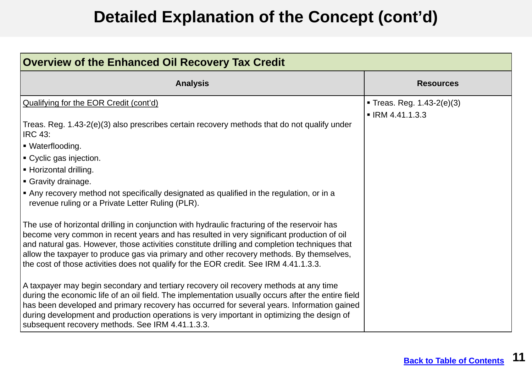| <b>Overview of the Enhanced Oil Recovery Tax Credit</b>                                                                                                                                                                                                                                                                                                                                                                                                                         |                                                             |
|---------------------------------------------------------------------------------------------------------------------------------------------------------------------------------------------------------------------------------------------------------------------------------------------------------------------------------------------------------------------------------------------------------------------------------------------------------------------------------|-------------------------------------------------------------|
| <b>Analysis</b>                                                                                                                                                                                                                                                                                                                                                                                                                                                                 | <b>Resources</b>                                            |
| Qualifying for the EOR Credit (cont'd)<br>Treas. Reg. 1.43-2(e)(3) also prescribes certain recovery methods that do not qualify under                                                                                                                                                                                                                                                                                                                                           | Treas. Reg. $1.43-2(e)(3)$<br>$\blacksquare$ IRM 4.41.1.3.3 |
| <b>IRC 43:</b><br>■ Waterflooding.                                                                                                                                                                                                                                                                                                                                                                                                                                              |                                                             |
| ■ Cyclic gas injection.<br>- Horizontal drilling.                                                                                                                                                                                                                                                                                                                                                                                                                               |                                                             |
| Gravity drainage.<br>Any recovery method not specifically designated as qualified in the regulation, or in a<br>revenue ruling or a Private Letter Ruling (PLR).                                                                                                                                                                                                                                                                                                                |                                                             |
| The use of horizontal drilling in conjunction with hydraulic fracturing of the reservoir has<br>become very common in recent years and has resulted in very significant production of oil<br>and natural gas. However, those activities constitute drilling and completion techniques that<br>allow the taxpayer to produce gas via primary and other recovery methods. By themselves,<br>the cost of those activities does not qualify for the EOR credit. See IRM 4.41.1.3.3. |                                                             |
| A taxpayer may begin secondary and tertiary recovery oil recovery methods at any time<br>during the economic life of an oil field. The implementation usually occurs after the entire field<br>has been developed and primary recovery has occurred for several years. Information gained<br>during development and production operations is very important in optimizing the design of<br>subsequent recovery methods. See IRM 4.41.1.3.3.                                     |                                                             |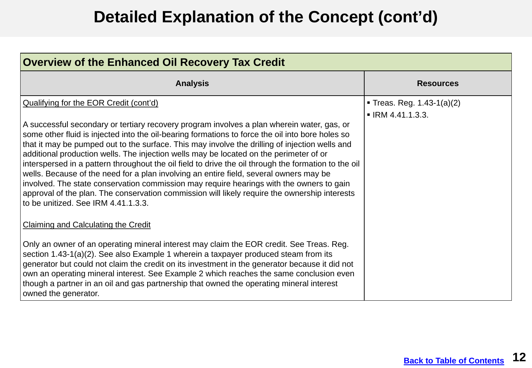| <b>Overview of the Enhanced Oil Recovery Tax Credit</b>                                                                                                                                                                                                                                                                                                                                                                                                                                                                                                                                                                                                                                                                                                                                                                          |                                                                   |  |
|----------------------------------------------------------------------------------------------------------------------------------------------------------------------------------------------------------------------------------------------------------------------------------------------------------------------------------------------------------------------------------------------------------------------------------------------------------------------------------------------------------------------------------------------------------------------------------------------------------------------------------------------------------------------------------------------------------------------------------------------------------------------------------------------------------------------------------|-------------------------------------------------------------------|--|
| <b>Analysis</b>                                                                                                                                                                                                                                                                                                                                                                                                                                                                                                                                                                                                                                                                                                                                                                                                                  | <b>Resources</b>                                                  |  |
| Qualifying for the EOR Credit (cont'd)                                                                                                                                                                                                                                                                                                                                                                                                                                                                                                                                                                                                                                                                                                                                                                                           | <b>Treas. Reg. 1.43-1(a)(2)</b><br>$\blacksquare$ IRM 4.41.1.3.3. |  |
| A successful secondary or tertiary recovery program involves a plan wherein water, gas, or<br>some other fluid is injected into the oil-bearing formations to force the oil into bore holes so<br>that it may be pumped out to the surface. This may involve the drilling of injection wells and<br>additional production wells. The injection wells may be located on the perimeter of or<br>interspersed in a pattern throughout the oil field to drive the oil through the formation to the oil<br>wells. Because of the need for a plan involving an entire field, several owners may be<br>involved. The state conservation commission may require hearings with the owners to gain<br>approval of the plan. The conservation commission will likely require the ownership interests<br>to be unitized. See IRM 4.41.1.3.3. |                                                                   |  |
| <b>Claiming and Calculating the Credit</b>                                                                                                                                                                                                                                                                                                                                                                                                                                                                                                                                                                                                                                                                                                                                                                                       |                                                                   |  |
| Only an owner of an operating mineral interest may claim the EOR credit. See Treas. Reg.<br>section 1.43-1(a)(2). See also Example 1 wherein a taxpayer produced steam from its<br>generator but could not claim the credit on its investment in the generator because it did not<br>own an operating mineral interest. See Example 2 which reaches the same conclusion even<br>though a partner in an oil and gas partnership that owned the operating mineral interest<br>owned the generator.                                                                                                                                                                                                                                                                                                                                 |                                                                   |  |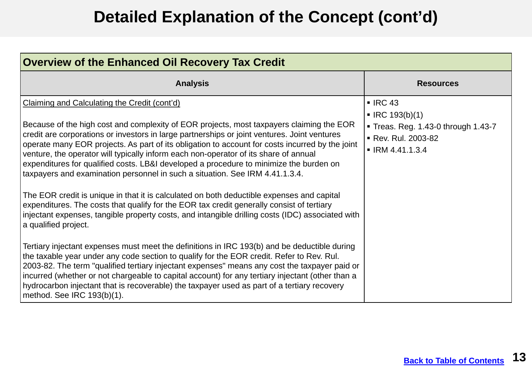| <b>Overview of the Enhanced Oil Recovery Tax Credit</b>                                                                                                                                                                                                                                                                                                                                                                                                                                                                                                                                                                                                                                                                                                                                                                                                                                                                                                                                                                                                                                                                                                                                                                                                                                                                                                                                                                                                            |                                                                                                                                                    |  |
|--------------------------------------------------------------------------------------------------------------------------------------------------------------------------------------------------------------------------------------------------------------------------------------------------------------------------------------------------------------------------------------------------------------------------------------------------------------------------------------------------------------------------------------------------------------------------------------------------------------------------------------------------------------------------------------------------------------------------------------------------------------------------------------------------------------------------------------------------------------------------------------------------------------------------------------------------------------------------------------------------------------------------------------------------------------------------------------------------------------------------------------------------------------------------------------------------------------------------------------------------------------------------------------------------------------------------------------------------------------------------------------------------------------------------------------------------------------------|----------------------------------------------------------------------------------------------------------------------------------------------------|--|
| <b>Analysis</b>                                                                                                                                                                                                                                                                                                                                                                                                                                                                                                                                                                                                                                                                                                                                                                                                                                                                                                                                                                                                                                                                                                                                                                                                                                                                                                                                                                                                                                                    | <b>Resources</b>                                                                                                                                   |  |
| Claiming and Calculating the Credit (cont'd)<br>Because of the high cost and complexity of EOR projects, most taxpayers claiming the EOR<br>credit are corporations or investors in large partnerships or joint ventures. Joint ventures<br>operate many EOR projects. As part of its obligation to account for costs incurred by the joint<br>venture, the operator will typically inform each non-operator of its share of annual<br>expenditures for qualified costs. LB&I developed a procedure to minimize the burden on<br>taxpayers and examination personnel in such a situation. See IRM 4.41.1.3.4.<br>The EOR credit is unique in that it is calculated on both deductible expenses and capital<br>expenditures. The costs that qualify for the EOR tax credit generally consist of tertiary<br>injectant expenses, tangible property costs, and intangible drilling costs (IDC) associated with<br>a qualified project.<br>Tertiary injectant expenses must meet the definitions in IRC 193(b) and be deductible during<br>the taxable year under any code section to qualify for the EOR credit. Refer to Rev. Rul.<br>2003-82. The term "qualified tertiary injectant expenses" means any cost the taxpayer paid or<br>incurred (whether or not chargeable to capital account) for any tertiary injectant (other than a<br>hydrocarbon injectant that is recoverable) the taxpayer used as part of a tertiary recovery<br>method. See IRC 193(b)(1). | $\blacksquare$ IRC 43<br>$\blacksquare$ IRC 193(b)(1)<br>Treas. Reg. 1.43-0 through 1.43-7<br>■ Rev. Rul. 2003-82<br>$\blacksquare$ IRM 4.41.1.3.4 |  |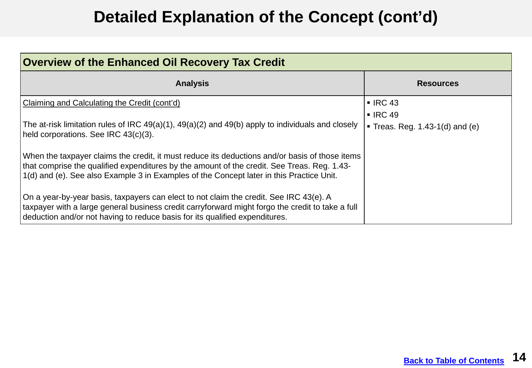| <b>Overview of the Enhanced Oil Recovery Tax Credit</b>                                                                                                                                                                                                                                   |                                                |  |
|-------------------------------------------------------------------------------------------------------------------------------------------------------------------------------------------------------------------------------------------------------------------------------------------|------------------------------------------------|--|
| <b>Analysis</b>                                                                                                                                                                                                                                                                           | <b>Resources</b>                               |  |
| Claiming and Calculating the Credit (cont'd)                                                                                                                                                                                                                                              | $\blacksquare$ IRC 43<br>$\blacksquare$ IRC 49 |  |
| The at-risk limitation rules of IRC 49(a)(1), 49(a)(2) and 49(b) apply to individuals and closely<br>held corporations. See IRC 43(c)(3).                                                                                                                                                 | $\blacksquare$ Treas. Reg. 1.43-1(d) and (e)   |  |
| When the taxpayer claims the credit, it must reduce its deductions and/or basis of those items<br>that comprise the qualified expenditures by the amount of the credit. See Treas. Reg. 1.43-<br>1(d) and (e). See also Example 3 in Examples of the Concept later in this Practice Unit. |                                                |  |
| On a year-by-year basis, taxpayers can elect to not claim the credit. See IRC 43(e). A<br>taxpayer with a large general business credit carryforward might forgo the credit to take a full<br>deduction and/or not having to reduce basis for its qualified expenditures.                 |                                                |  |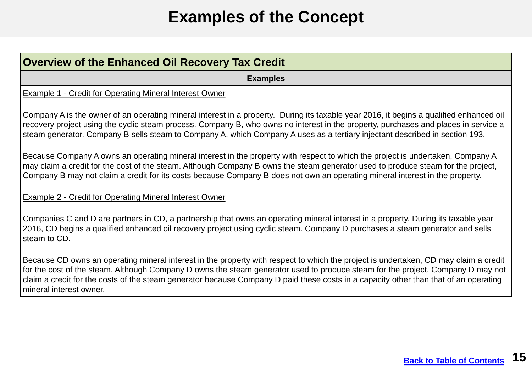## **Examples of the Concept**

<span id="page-14-0"></span>

| <b>Overview of the Enhanced Oil Recovery Tax Credit</b>                                                                                                                                                                                                                                                                                                                                                                                    |  |
|--------------------------------------------------------------------------------------------------------------------------------------------------------------------------------------------------------------------------------------------------------------------------------------------------------------------------------------------------------------------------------------------------------------------------------------------|--|
| <b>Examples</b>                                                                                                                                                                                                                                                                                                                                                                                                                            |  |
| <b>Example 1 - Credit for Operating Mineral Interest Owner</b>                                                                                                                                                                                                                                                                                                                                                                             |  |
| Company A is the owner of an operating mineral interest in a property. During its taxable year 2016, it begins a qualified enhanced oil<br>recovery project using the cyclic steam process. Company B, who owns no interest in the property, purchases and places in service a<br>steam generator. Company B sells steam to Company A, which Company A uses as a tertiary injectant described in section 193.                              |  |
| Because Company A owns an operating mineral interest in the property with respect to which the project is undertaken, Company A<br>may claim a credit for the cost of the steam. Although Company B owns the steam generator used to produce steam for the project,<br>Company B may not claim a credit for its costs because Company B does not own an operating mineral interest in the property.                                        |  |
| <b>Example 2 - Credit for Operating Mineral Interest Owner</b>                                                                                                                                                                                                                                                                                                                                                                             |  |
| Companies C and D are partners in CD, a partnership that owns an operating mineral interest in a property. During its taxable year<br>2016, CD begins a qualified enhanced oil recovery project using cyclic steam. Company D purchases a steam generator and sells<br>steam to CD.                                                                                                                                                        |  |
| Because CD owns an operating mineral interest in the property with respect to which the project is undertaken, CD may claim a credit<br>for the cost of the steam. Although Company D owns the steam generator used to produce steam for the project, Company D may not<br>claim a credit for the costs of the steam generator because Company D paid these costs in a capacity other than that of an operating<br>mineral interest owner. |  |
|                                                                                                                                                                                                                                                                                                                                                                                                                                            |  |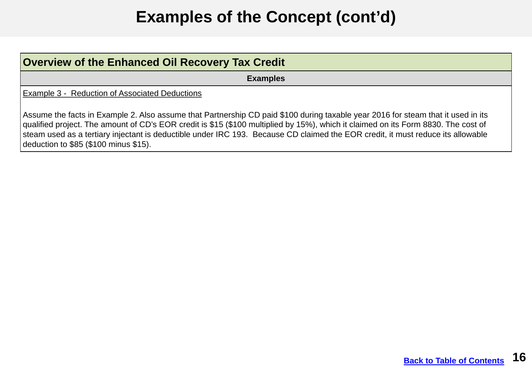# **Examples of the Concept (cont'd)**

| <b>Overview of the Enhanced Oil Recovery Tax Credit</b>                                                                                                                                                                                                                                                                                                                                                                                            |
|----------------------------------------------------------------------------------------------------------------------------------------------------------------------------------------------------------------------------------------------------------------------------------------------------------------------------------------------------------------------------------------------------------------------------------------------------|
| <b>Examples</b>                                                                                                                                                                                                                                                                                                                                                                                                                                    |
| <b>Example 3 - Reduction of Associated Deductions</b>                                                                                                                                                                                                                                                                                                                                                                                              |
| Assume the facts in Example 2. Also assume that Partnership CD paid \$100 during taxable year 2016 for steam that it used in its<br>qualified project. The amount of CD's EOR credit is \$15 (\$100 multiplied by 15%), which it claimed on its Form 8830. The cost of<br>steam used as a tertiary injectant is deductible under IRC 193. Because CD claimed the EOR credit, it must reduce its allowable<br>deduction to \$85 (\$100 minus \$15). |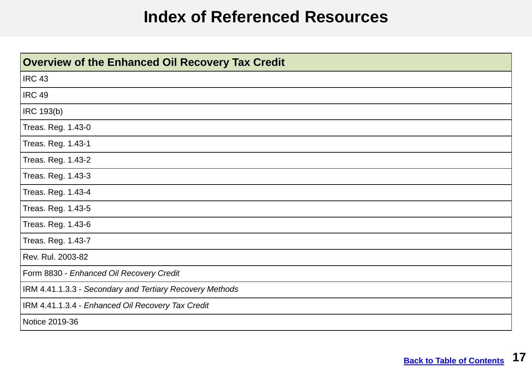### **Index of Referenced Resources**

<span id="page-16-0"></span>

| <b>Overview of the Enhanced Oil Recovery Tax Credit</b>  |
|----------------------------------------------------------|
| <b>IRC 43</b>                                            |
| <b>IRC 49</b>                                            |
| IRC 193(b)                                               |
| Treas. Reg. 1.43-0                                       |
| Treas. Reg. 1.43-1                                       |
| Treas. Reg. 1.43-2                                       |
| Treas. Reg. 1.43-3                                       |
| Treas. Reg. 1.43-4                                       |
| Treas. Reg. 1.43-5                                       |
| Treas. Reg. 1.43-6                                       |
| Treas. Reg. 1.43-7                                       |
| Rev. Rul. 2003-82                                        |
| Form 8830 - Enhanced Oil Recovery Credit                 |
| IRM 4.41.1.3.3 - Secondary and Tertiary Recovery Methods |
| IRM 4.41.1.3.4 - Enhanced Oil Recovery Tax Credit        |
| Notice 2019-36                                           |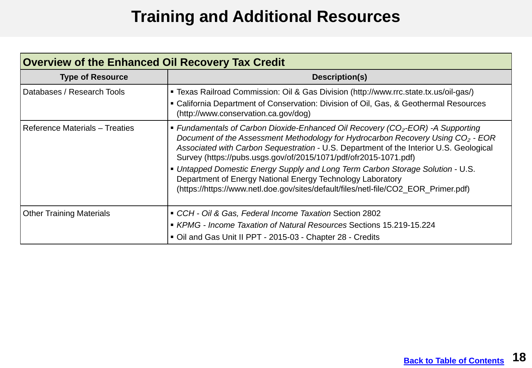## **Training and Additional Resources**

<span id="page-17-0"></span>

| <b>Overview of the Enhanced Oil Recovery Tax Credit</b> |                                                                                                                                                                                                                                                                                                                                                                                                                                                                                                                                                                                        |  |  |
|---------------------------------------------------------|----------------------------------------------------------------------------------------------------------------------------------------------------------------------------------------------------------------------------------------------------------------------------------------------------------------------------------------------------------------------------------------------------------------------------------------------------------------------------------------------------------------------------------------------------------------------------------------|--|--|
| <b>Type of Resource</b>                                 | Description(s)                                                                                                                                                                                                                                                                                                                                                                                                                                                                                                                                                                         |  |  |
| Databases / Research Tools                              | ■ Texas Railroad Commission: Oil & Gas Division (http://www.rrc.state.tx.us/oil-gas/)<br>• California Department of Conservation: Division of Oil, Gas, & Geothermal Resources<br>(http://www.conservation.ca.gov/dog)                                                                                                                                                                                                                                                                                                                                                                 |  |  |
| <b>Reference Materials - Treaties</b>                   | • Fundamentals of Carbon Dioxide-Enhanced Oil Recovery ( $CO2$ -EOR) -A Supporting<br>Document of the Assessment Methodology for Hydrocarbon Recovery Using CO <sub>2</sub> - EOR<br>Associated with Carbon Sequestration - U.S. Department of the Interior U.S. Geological<br>Survey (https://pubs.usgs.gov/of/2015/1071/pdf/ofr2015-1071.pdf)<br>• Untapped Domestic Energy Supply and Long Term Carbon Storage Solution - U.S.<br>Department of Energy National Energy Technology Laboratory<br>(https://https://www.netl.doe.gov/sites/default/files/netl-file/CO2_EOR_Primer.pdf) |  |  |
| <b>Other Training Materials</b>                         | CCH - Oil & Gas, Federal Income Taxation Section 2802<br>■ KPMG - Income Taxation of Natural Resources Sections 15.219-15.224<br>Oil and Gas Unit II PPT - 2015-03 - Chapter 28 - Credits                                                                                                                                                                                                                                                                                                                                                                                              |  |  |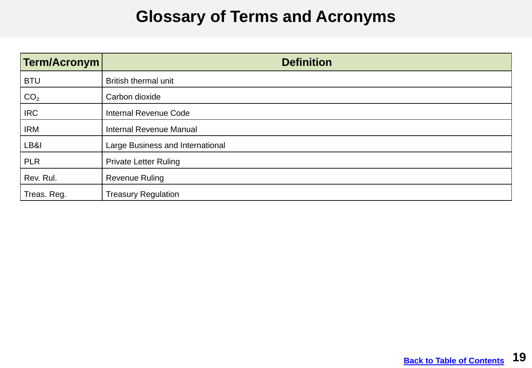### **Glossary of Terms and Acronyms**

<span id="page-18-0"></span>

| Term/Acronym    | <b>Definition</b>                |
|-----------------|----------------------------------|
| <b>BTU</b>      | <b>British thermal unit</b>      |
| CO <sub>2</sub> | Carbon dioxide                   |
| <b>IRC</b>      | <b>Internal Revenue Code</b>     |
| IRM             | <b>Internal Revenue Manual</b>   |
| LB&I            | Large Business and International |
| <b>PLR</b>      | <b>Private Letter Ruling</b>     |
| Rev. Rul.       | <b>Revenue Ruling</b>            |
| Treas. Reg.     | <b>Treasury Regulation</b>       |